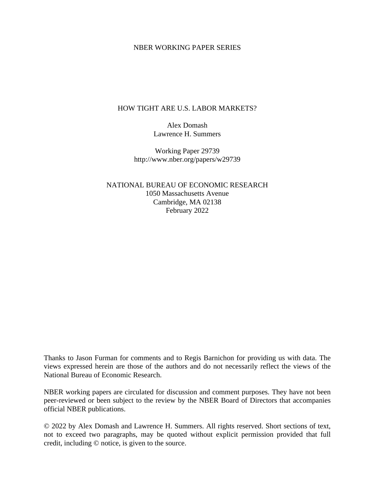### NBER WORKING PAPER SERIES

### HOW TIGHT ARE U.S. LABOR MARKETS?

Alex Domash Lawrence H. Summers

Working Paper 29739 http://www.nber.org/papers/w29739

NATIONAL BUREAU OF ECONOMIC RESEARCH 1050 Massachusetts Avenue Cambridge, MA 02138 February 2022

Thanks to Jason Furman for comments and to Regis Barnichon for providing us with data. The views expressed herein are those of the authors and do not necessarily reflect the views of the National Bureau of Economic Research.

NBER working papers are circulated for discussion and comment purposes. They have not been peer-reviewed or been subject to the review by the NBER Board of Directors that accompanies official NBER publications.

© 2022 by Alex Domash and Lawrence H. Summers. All rights reserved. Short sections of text, not to exceed two paragraphs, may be quoted without explicit permission provided that full credit, including © notice, is given to the source.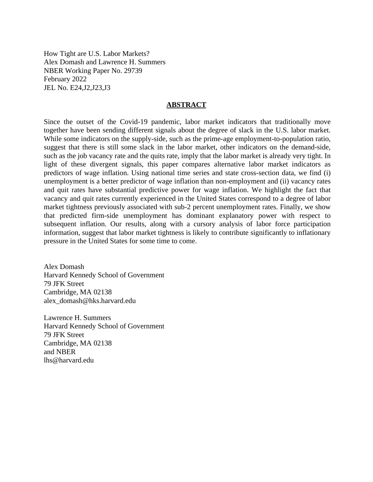How Tight are U.S. Labor Markets? Alex Domash and Lawrence H. Summers NBER Working Paper No. 29739 February 2022 JEL No. E24,J2,J23,J3

#### **ABSTRACT**

Since the outset of the Covid-19 pandemic, labor market indicators that traditionally move together have been sending different signals about the degree of slack in the U.S. labor market. While some indicators on the supply-side, such as the prime-age employment-to-population ratio, suggest that there is still some slack in the labor market, other indicators on the demand-side, such as the job vacancy rate and the quits rate, imply that the labor market is already very tight. In light of these divergent signals, this paper compares alternative labor market indicators as predictors of wage inflation. Using national time series and state cross-section data, we find (i) unemployment is a better predictor of wage inflation than non-employment and (ii) vacancy rates and quit rates have substantial predictive power for wage inflation. We highlight the fact that vacancy and quit rates currently experienced in the United States correspond to a degree of labor market tightness previously associated with sub-2 percent unemployment rates. Finally, we show that predicted firm-side unemployment has dominant explanatory power with respect to subsequent inflation. Our results, along with a cursory analysis of labor force participation information, suggest that labor market tightness is likely to contribute significantly to inflationary pressure in the United States for some time to come.

Alex Domash Harvard Kennedy School of Government 79 JFK Street Cambridge, MA 02138 alex\_domash@hks.harvard.edu

Lawrence H. Summers Harvard Kennedy School of Government 79 JFK Street Cambridge, MA 02138 and NBER lhs@harvard.edu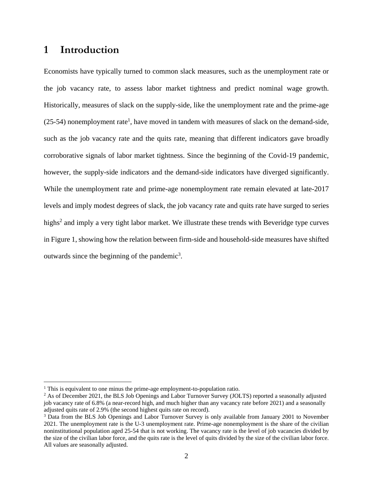## **1 Introduction**

Economists have typically turned to common slack measures, such as the unemployment rate or the job vacancy rate, to assess labor market tightness and predict nominal wage growth. Historically, measures of slack on the supply-side, like the unemployment rate and the prime-age  $(25-54)$  nonemployment rate<sup>1</sup>, have moved in tandem with measures of slack on the demand-side, such as the job vacancy rate and the quits rate, meaning that different indicators gave broadly corroborative signals of labor market tightness. Since the beginning of the Covid-19 pandemic, however, the supply-side indicators and the demand-side indicators have diverged significantly. While the unemployment rate and prime-age nonemployment rate remain elevated at late-2017 levels and imply modest degrees of slack, the job vacancy rate and quits rate have surged to series highs<sup>2</sup> and imply a very tight labor market. We illustrate these trends with Beveridge type curves in Figure 1, showing how the relation between firm-side and household-side measures have shifted outwards since the beginning of the pandemic<sup>3</sup>.

<sup>&</sup>lt;sup>1</sup> This is equivalent to one minus the prime-age employment-to-population ratio.

<sup>&</sup>lt;sup>2</sup> As of December 2021, the BLS Job Openings and Labor Turnover Survey (JOLTS) reported a seasonally adjusted job vacancy rate of 6.8% (a near-record high, and much higher than any vacancy rate before 2021) and a seasonally adjusted quits rate of 2.9% (the second highest quits rate on record).

<sup>&</sup>lt;sup>3</sup> Data from the BLS Job Openings and Labor Turnover Survey is only available from January 2001 to November 2021. The unemployment rate is the U-3 unemployment rate. Prime-age nonemployment is the share of the civilian noninstitutional population aged 25-54 that is not working. The vacancy rate is the level of job vacancies divided by the size of the civilian labor force, and the quits rate is the level of quits divided by the size of the civilian labor force. All values are seasonally adjusted.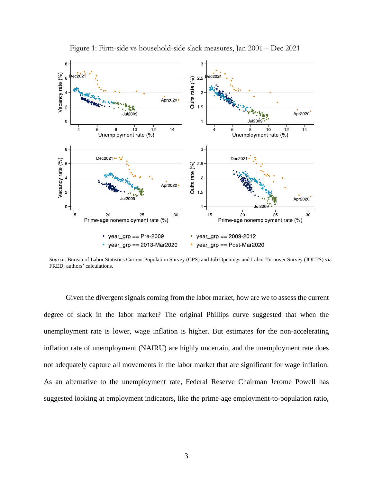

Figure 1: Firm-side vs household-side slack measures, Jan 2001 – Dec 2021

*Source*: Bureau of Labor Statistics Current Population Survey (CPS) and Job Openings and Labor Turnover Survey (JOLTS) via FRED; authors' calculations.

Given the divergent signals coming from the labor market, how are we to assess the current degree of slack in the labor market? The original Phillips curve suggested that when the unemployment rate is lower, wage inflation is higher. But estimates for the non-accelerating inflation rate of unemployment (NAIRU) are highly uncertain, and the unemployment rate does not adequately capture all movements in the labor market that are significant for wage inflation. As an alternative to the unemployment rate, Federal Reserve Chairman Jerome Powell has suggested looking at employment indicators, like the prime-age employment-to-population ratio,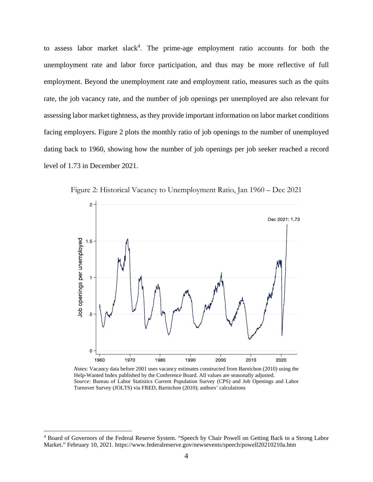to assess labor market slack<sup>4</sup>. The prime-age employment ratio accounts for both the unemployment rate and labor force participation, and thus may be more reflective of full employment. Beyond the unemployment rate and employment ratio, measures such as the quits rate, the job vacancy rate, and the number of job openings per unemployed are also relevant for assessing labor market tightness, as they provide important information on labor market conditions facing employers. Figure 2 plots the monthly ratio of job openings to the number of unemployed dating back to 1960, showing how the number of job openings per job seeker reached a record level of 1.73 in December 2021.



Figure 2: Historical Vacancy to Unemployment Ratio, Jan 1960 – Dec 2021

*Notes*: Vacancy data before 2001 uses vacancy estimates constructed from Barnichon (2010) using the Help-Wanted Index published by the Conference Board. All values are seasonally adjusted. *Source*: Bureau of Labor Statistics Current Population Survey (CPS) and Job Openings and Labor Turnover Survey (JOLTS) via FRED, Barnichon (2010); authors' calculations

<sup>4</sup> Board of Governors of the Federal Reserve System. "Speech by Chair Powell on Getting Back to a Strong Labor Market." February 10, 2021. https://www.federalreserve.gov/newsevents/speech/powell20210210a.htm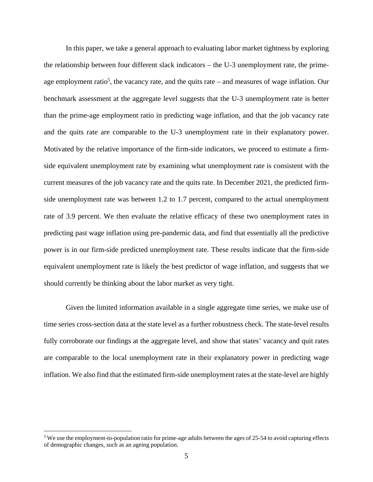In this paper, we take a general approach to evaluating labor market tightness by exploring the relationship between four different slack indicators – the U-3 unemployment rate, the primeage employment ratio<sup>5</sup>, the vacancy rate, and the quits rate  $-$  and measures of wage inflation. Our benchmark assessment at the aggregate level suggests that the U-3 unemployment rate is better than the prime-age employment ratio in predicting wage inflation, and that the job vacancy rate and the quits rate are comparable to the U-3 unemployment rate in their explanatory power. Motivated by the relative importance of the firm-side indicators, we proceed to estimate a firmside equivalent unemployment rate by examining what unemployment rate is consistent with the current measures of the job vacancy rate and the quits rate. In December 2021, the predicted firmside unemployment rate was between 1.2 to 1.7 percent, compared to the actual unemployment rate of 3.9 percent. We then evaluate the relative efficacy of these two unemployment rates in predicting past wage inflation using pre-pandemic data, and find that essentially all the predictive power is in our firm-side predicted unemployment rate. These results indicate that the firm-side equivalent unemployment rate is likely the best predictor of wage inflation, and suggests that we should currently be thinking about the labor market as very tight.

Given the limited information available in a single aggregate time series, we make use of time series cross-section data at the state level as a further robustness check. The state-level results fully corroborate our findings at the aggregate level, and show that states' vacancy and quit rates are comparable to the local unemployment rate in their explanatory power in predicting wage inflation. We also find that the estimated firm-side unemployment rates at the state-level are highly

<sup>&</sup>lt;sup>5</sup> We use the employment-to-population ratio for prime-age adults between the ages of 25-54 to avoid capturing effects of demographic changes, such as an ageing population.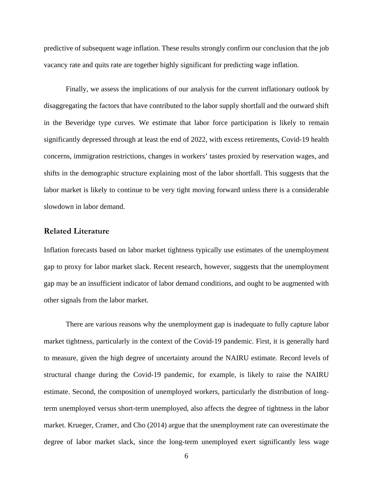predictive of subsequent wage inflation. These results strongly confirm our conclusion that the job vacancy rate and quits rate are together highly significant for predicting wage inflation.

Finally, we assess the implications of our analysis for the current inflationary outlook by disaggregating the factors that have contributed to the labor supply shortfall and the outward shift in the Beveridge type curves. We estimate that labor force participation is likely to remain significantly depressed through at least the end of 2022, with excess retirements, Covid-19 health concerns, immigration restrictions, changes in workers' tastes proxied by reservation wages, and shifts in the demographic structure explaining most of the labor shortfall. This suggests that the labor market is likely to continue to be very tight moving forward unless there is a considerable slowdown in labor demand.

### **Related Literature**

Inflation forecasts based on labor market tightness typically use estimates of the unemployment gap to proxy for labor market slack. Recent research, however, suggests that the unemployment gap may be an insufficient indicator of labor demand conditions, and ought to be augmented with other signals from the labor market.

There are various reasons why the unemployment gap is inadequate to fully capture labor market tightness, particularly in the context of the Covid-19 pandemic. First, it is generally hard to measure, given the high degree of uncertainty around the NAIRU estimate. Record levels of structural change during the Covid-19 pandemic, for example, is likely to raise the NAIRU estimate. Second, the composition of unemployed workers, particularly the distribution of longterm unemployed versus short-term unemployed, also affects the degree of tightness in the labor market. Krueger, Cramer, and Cho (2014) argue that the unemployment rate can overestimate the degree of labor market slack, since the long-term unemployed exert significantly less wage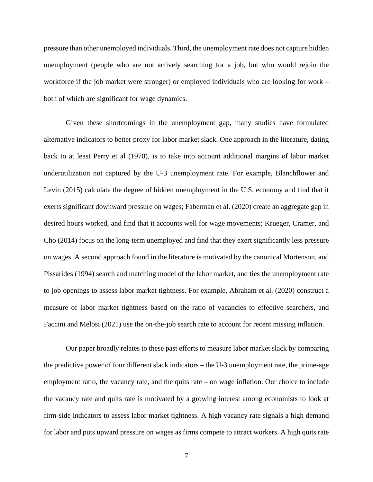pressure than other unemployed individuals. Third, the unemployment rate does not capture hidden unemployment (people who are not actively searching for a job, but who would rejoin the workforce if the job market were stronger) or employed individuals who are looking for work – both of which are significant for wage dynamics.

Given these shortcomings in the unemployment gap, many studies have formulated alternative indicators to better proxy for labor market slack. One approach in the literature, dating back to at least Perry et al (1970), is to take into account additional margins of labor market underutilization not captured by the U-3 unemployment rate. For example, Blanchflower and Levin (2015) calculate the degree of hidden unemployment in the U.S. economy and find that it exerts significant downward pressure on wages; Faberman et al. (2020) create an aggregate gap in desired hours worked, and find that it accounts well for wage movements; Krueger, Cramer, and Cho (2014) focus on the long-term unemployed and find that they exert significantly less pressure on wages. A second approach found in the literature is motivated by the canonical Mortenson, and Pissarides (1994) search and matching model of the labor market, and ties the unemployment rate to job openings to assess labor market tightness. For example, Abraham et al. (2020) construct a measure of labor market tightness based on the ratio of vacancies to effective searchers, and Faccini and Melosi (2021) use the on-the-job search rate to account for recent missing inflation.

 Our paper broadly relates to these past efforts to measure labor market slack by comparing the predictive power of four different slack indicators – the U-3 unemployment rate, the prime-age employment ratio, the vacancy rate, and the quits rate – on wage inflation. Our choice to include the vacancy rate and quits rate is motivated by a growing interest among economists to look at firm-side indicators to assess labor market tightness. A high vacancy rate signals a high demand for labor and puts upward pressure on wages as firms compete to attract workers. A high quits rate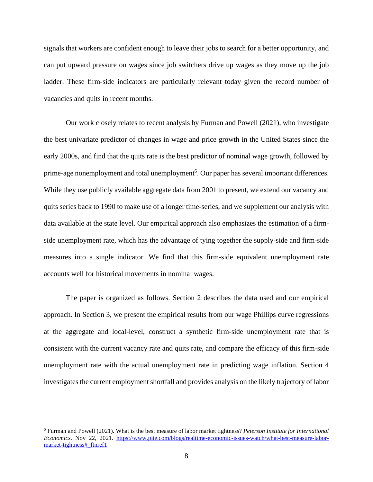signals that workers are confident enough to leave their jobs to search for a better opportunity, and can put upward pressure on wages since job switchers drive up wages as they move up the job ladder. These firm-side indicators are particularly relevant today given the record number of vacancies and quits in recent months.

 Our work closely relates to recent analysis by Furman and Powell (2021), who investigate the best univariate predictor of changes in wage and price growth in the United States since the early 2000s, and find that the quits rate is the best predictor of nominal wage growth, followed by prime-age nonemployment and total unemployment<sup>6</sup>. Our paper has several important differences. While they use publicly available aggregate data from 2001 to present, we extend our vacancy and quits series back to 1990 to make use of a longer time-series, and we supplement our analysis with data available at the state level. Our empirical approach also emphasizes the estimation of a firmside unemployment rate, which has the advantage of tying together the supply-side and firm-side measures into a single indicator. We find that this firm-side equivalent unemployment rate accounts well for historical movements in nominal wages.

The paper is organized as follows. Section 2 describes the data used and our empirical approach. In Section 3, we present the empirical results from our wage Phillips curve regressions at the aggregate and local-level, construct a synthetic firm-side unemployment rate that is consistent with the current vacancy rate and quits rate, and compare the efficacy of this firm-side unemployment rate with the actual unemployment rate in predicting wage inflation. Section 4 investigates the current employment shortfall and provides analysis on the likely trajectory of labor

1

<sup>6</sup> Furman and Powell (2021). What is the best measure of labor market tightness? *Peterson Institute for International Economics*. Nov 22, 2021. https://www.piie.com/blogs/realtime-economic-issues-watch/what-best-measure-labormarket-tightness#\_ftnref1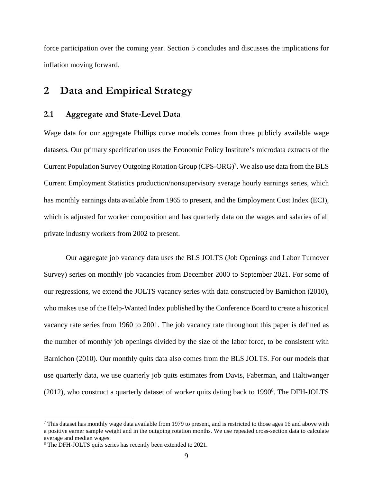force participation over the coming year. Section 5 concludes and discusses the implications for inflation moving forward.

## **2 Data and Empirical Strategy**

### **2.1 Aggregate and State-Level Data**

Wage data for our aggregate Phillips curve models comes from three publicly available wage datasets. Our primary specification uses the Economic Policy Institute's microdata extracts of the Current Population Survey Outgoing Rotation Group (CPS-ORG)<sup>7</sup>. We also use data from the BLS Current Employment Statistics production/nonsupervisory average hourly earnings series, which has monthly earnings data available from 1965 to present, and the Employment Cost Index (ECI), which is adjusted for worker composition and has quarterly data on the wages and salaries of all private industry workers from 2002 to present.

Our aggregate job vacancy data uses the BLS JOLTS (Job Openings and Labor Turnover Survey) series on monthly job vacancies from December 2000 to September 2021. For some of our regressions, we extend the JOLTS vacancy series with data constructed by Barnichon (2010), who makes use of the Help-Wanted Index published by the Conference Board to create a historical vacancy rate series from 1960 to 2001. The job vacancy rate throughout this paper is defined as the number of monthly job openings divided by the size of the labor force, to be consistent with Barnichon (2010). Our monthly quits data also comes from the BLS JOLTS. For our models that use quarterly data, we use quarterly job quits estimates from Davis, Faberman, and Haltiwanger  $(2012)$ , who construct a quarterly dataset of worker quits dating back to 1990<sup>8</sup>. The DFH-JOLTS

 $<sup>7</sup>$  This dataset has monthly wage data available from 1979 to present, and is restricted to those ages 16 and above with</sup> a positive earner sample weight and in the outgoing rotation months. We use repeated cross-section data to calculate average and median wages.

<sup>8</sup> The DFH-JOLTS quits series has recently been extended to 2021.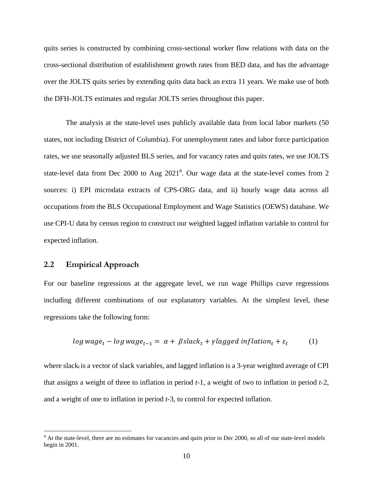quits series is constructed by combining cross-sectional worker flow relations with data on the cross-sectional distribution of establishment growth rates from BED data, and has the advantage over the JOLTS quits series by extending quits data back an extra 11 years. We make use of both the DFH-JOLTS estimates and regular JOLTS series throughout this paper.

The analysis at the state-level uses publicly available data from local labor markets (50 states, not including District of Columbia). For unemployment rates and labor force participation rates, we use seasonally adjusted BLS series, and for vacancy rates and quits rates, we use JOLTS state-level data from Dec 2000 to Aug 2021<sup>9</sup>. Our wage data at the state-level comes from 2 sources: i) EPI microdata extracts of CPS-ORG data, and ii) hourly wage data across all occupations from the BLS Occupational Employment and Wage Statistics (OEWS) database. We use CPI-U data by census region to construct our weighted lagged inflation variable to control for expected inflation.

### **2.2 Empirical Approach**

 $\overline{a}$ 

For our baseline regressions at the aggregate level, we run wage Phillips curve regressions including different combinations of our explanatory variables. At the simplest level, these regressions take the following form:

$$
log\,wage_t - log\,wage_{t-1} = \alpha + \beta slack_t + \gamma lagged\,inflation_t + \varepsilon_t \tag{1}
$$

where slack<sub>t</sub> is a vector of slack variables, and lagged inflation is a 3-year weighted average of CPI that assigns a weight of three to inflation in period *t-*1, a weight of two to inflation in period *t-*2, and a weight of one to inflation in period *t-*3, to control for expected inflation.

<sup>&</sup>lt;sup>9</sup> At the state-level, there are no estimates for vacancies and quits prior to Dec 2000, so all of our state-level models begin in 2001.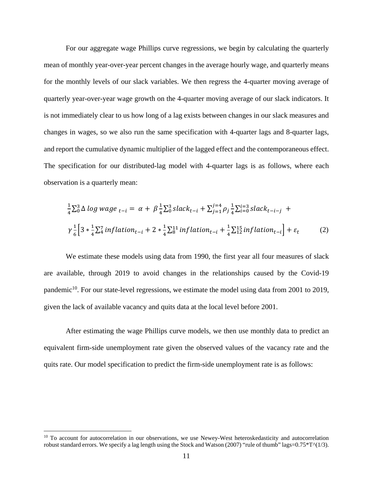For our aggregate wage Phillips curve regressions, we begin by calculating the quarterly mean of monthly year-over-year percent changes in the average hourly wage, and quarterly means for the monthly levels of our slack variables. We then regress the 4-quarter moving average of quarterly year-over-year wage growth on the 4-quarter moving average of our slack indicators. It is not immediately clear to us how long of a lag exists between changes in our slack measures and changes in wages, so we also run the same specification with 4-quarter lags and 8-quarter lags, and report the cumulative dynamic multiplier of the lagged effect and the contemporaneous effect. The specification for our distributed-lag model with 4-quarter lags is as follows, where each observation is a quarterly mean:

$$
\frac{1}{4}\sum_{0}^{3}\Delta\log\text{ wage}_{t-i} = \alpha + \beta\frac{1}{4}\sum_{0}^{3}slack_{t-i} + \sum_{j=1}^{j=4}\rho_{j}\frac{1}{4}\sum_{i=0}^{i=3}slack_{t-i-j} + \gamma\frac{1}{6}\left[3*\frac{1}{4}\sum_{i}^{7}inflation_{t-i} + 2*\frac{1}{4}\sum_{0}^{11}inflation_{t-i} + \frac{1}{4}\sum_{12}^{15}inflation_{t-i}\right] + \varepsilon_{t}
$$
\n(2)

We estimate these models using data from 1990, the first year all four measures of slack are available, through 2019 to avoid changes in the relationships caused by the Covid-19 pandemic<sup>10</sup>. For our state-level regressions, we estimate the model using data from 2001 to 2019, given the lack of available vacancy and quits data at the local level before 2001.

 After estimating the wage Phillips curve models, we then use monthly data to predict an equivalent firm-side unemployment rate given the observed values of the vacancy rate and the quits rate. Our model specification to predict the firm-side unemployment rate is as follows:

<u>.</u>

<sup>&</sup>lt;sup>10</sup> To account for autocorrelation in our observations, we use Newey-West heteroskedasticity and autocorrelation robust standard errors. We specify a lag length using the Stock and Watson (2007) "rule of thumb" lags=0.75 $*T^{\alpha}(1/3)$ .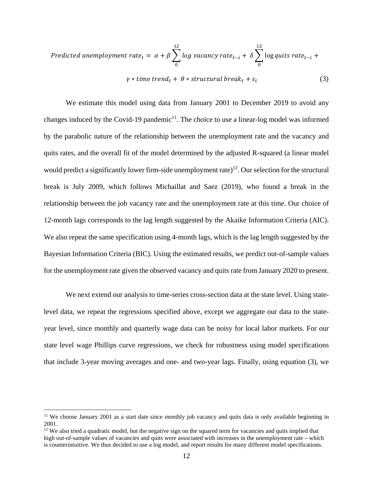Predicted unemboyment rate<sub>t</sub> = 
$$
\alpha + \beta \sum_{0}^{12} \log \text{ vacancy rate}_{t-i} + \delta \sum_{0}^{12} \log \text{quits rate}_{t-i} + \gamma * \text{time trend}_{t} + \theta * \text{structural break}_{t} + \varepsilon_{t}
$$
 (3)

We estimate this model using data from January 2001 to December 2019 to avoid any changes induced by the Covid-19 pandemic<sup>11</sup>. The choice to use a linear-log model was informed by the parabolic nature of the relationship between the unemployment rate and the vacancy and quits rates, and the overall fit of the model determined by the adjusted R-squared (a linear model would predict a significantly lower firm-side unemployment rate)<sup>12</sup>. Our selection for the structural break is July 2009, which follows Michaillat and Saez (2019), who found a break in the relationship between the job vacancy rate and the unemployment rate at this time. Our choice of 12-month lags corresponds to the lag length suggested by the Akaike Information Criteria (AIC). We also repeat the same specification using 4-month lags, which is the lag length suggested by the Bayesian Information Criteria (BIC). Using the estimated results, we predict out-of-sample values for the unemployment rate given the observed vacancy and quits rate from January 2020 to present.

We next extend our analysis to time-series cross-section data at the state level. Using statelevel data, we repeat the regressions specified above, except we aggregate our data to the stateyear level, since monthly and quarterly wage data can be noisy for local labor markets. For our state level wage Phillips curve regressions, we check for robustness using model specifications that include 3-year moving averages and one- and two-year lags. Finally, using equation (3), we

<sup>&</sup>lt;sup>11</sup> We choose January 2001 as a start date since monthly job vacancy and quits data is only available beginning in 2001.

 $12$  We also tried a quadratic model, but the negative sign on the squared term for vacancies and quits implied that high out-of-sample values of vacancies and quits were associated with increases in the unemployment rate – which is counterintuitive. We thus decided to use a log model, and report results for many different model specifications.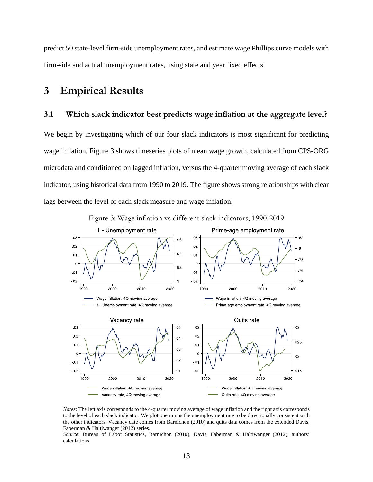predict 50 state-level firm-side unemployment rates, and estimate wage Phillips curve models with firm-side and actual unemployment rates, using state and year fixed effects.

## **3 Empirical Results**

## **3.1 Which slack indicator best predicts wage inflation at the aggregate level?**

We begin by investigating which of our four slack indicators is most significant for predicting wage inflation. Figure 3 shows timeseries plots of mean wage growth, calculated from CPS-ORG microdata and conditioned on lagged inflation, versus the 4-quarter moving average of each slack indicator, using historical data from 1990 to 2019. The figure shows strong relationships with clear lags between the level of each slack measure and wage inflation.



Figure 3: Wage inflation vs different slack indicators, 1990-2019

*Notes*: The left axis corresponds to the 4-quarter moving average of wage inflation and the right axis corresponds to the level of each slack indicator. We plot one minus the unemployment rate to be directionally consistent with the other indicators. Vacancy date comes from Barnichon (2010) and quits data comes from the extended Davis, Faberman & Haltiwanger (2012) series.

*Source*: Bureau of Labor Statistics, Barnichon (2010), Davis, Faberman & Haltiwanger (2012); authors' calculations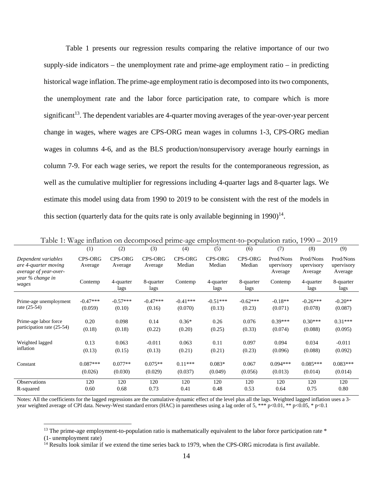Table 1 presents our regression results comparing the relative importance of our two supply-side indicators – the unemployment rate and prime-age employment ratio – in predicting historical wage inflation. The prime-age employment ratio is decomposed into its two components, the unemployment rate and the labor force participation rate, to compare which is more significant<sup>13</sup>. The dependent variables are 4-quarter moving averages of the year-over-year percent change in wages, where wages are CPS-ORG mean wages in columns 1-3, CPS-ORG median wages in columns 4-6, and as the BLS production/nonsupervisory average hourly earnings in column 7-9. For each wage series, we report the results for the contemporaneous regression, as well as the cumulative multiplier for regressions including 4-quarter lags and 8-quarter lags. We estimate this model using data from 1990 to 2019 to be consistent with the rest of the models in this section (quarterly data for the quits rate is only available beginning in  $1990)^{14}$ .

|                                                                      | (1)                       | (2)                       | (3)                       | (4)                      | (5)                      | (6)               | (7)                                | (8)                                | (9)                                |
|----------------------------------------------------------------------|---------------------------|---------------------------|---------------------------|--------------------------|--------------------------|-------------------|------------------------------------|------------------------------------|------------------------------------|
| Dependent variables<br>are 4-quarter moving<br>average of year-over- | <b>CPS-ORG</b><br>Average | <b>CPS-ORG</b><br>Average | <b>CPS-ORG</b><br>Average | <b>CPS-ORG</b><br>Median | <b>CPS-ORG</b><br>Median | CPS-ORG<br>Median | Prod/Nons<br>upervisory<br>Average | Prod/Nons<br>upervisory<br>Average | Prod/Nons<br>upervisory<br>Average |
| year % change in<br>wages                                            | Contemp                   | 4-quarter<br>lags         | 8-quarter<br>lags         | Contemp                  | 4-quarter<br>lags        | 8-quarter<br>lags | Contemp                            | 4-quarter<br>lags                  | 8-quarter<br>lags                  |
| Prime-age unemployment                                               | $-0.47***$                | $-0.57***$                | $-0.47***$                | $-0.41***$               | $-0.51***$               | $-0.62***$        | $-0.18**$                          | $-0.26***$                         | $-0.20**$                          |
| rate $(25-54)$                                                       | (0.059)                   | (0.10)                    | (0.16)                    | (0.070)                  | (0.13)                   | (0.23)            | (0.071)                            | (0.078)                            | (0.087)                            |
| Prime-age labor force                                                | 0.20                      | 0.098                     | 0.14                      | $0.36*$                  | 0.26                     | 0.076             | $0.39***$                          | $0.30***$                          | $0.31***$                          |
| participation rate (25-54)                                           | (0.18)                    | (0.18)                    | (0.22)                    | (0.20)                   | (0.25)                   | (0.33)            | (0.074)                            | (0.088)                            | (0.095)                            |
| Weighted lagged                                                      | 0.13                      | 0.063                     | $-0.011$                  | 0.063                    | 0.11                     | 0.097             | 0.094                              | 0.034                              | $-0.011$                           |
| inflation                                                            | (0.13)                    | (0.15)                    | (0.13)                    | (0.21)                   | (0.21)                   | (0.23)            | (0.096)                            | (0.088)                            | (0.092)                            |
| Constant                                                             | $0.087***$                | $0.077**$                 | $0.075**$                 | $0.11***$                | $0.083*$                 | 0.067             | $0.094***$                         | $0.085***$                         | $0.083***$                         |
|                                                                      | (0.026)                   | (0.030)                   | (0.029)                   | (0.037)                  | (0.049)                  | (0.056)           | (0.013)                            | (0.014)                            | (0.014)                            |
| <b>Observations</b>                                                  | 120                       | 120                       | 120                       | 120                      | 120                      | 120               | 120                                | 120                                | 120                                |
| R-squared                                                            | 0.60                      | 0.68                      | 0.73                      | 0.41                     | 0.48                     | 0.53              | 0.64                               | 0.75                               | 0.80                               |

Table 1: Wage inflation on decomposed prime-age employment-to-population ratio, 1990 – 2019

Notes: All the coefficients for the lagged regressions are the cumulative dynamic effect of the level plus all the lags. Weighted lagged inflation uses a 3 year weighted average of CPI data. Newey-West standard errors (HAC) in parentheses using a lag order of 5, \*\*\* p<0.01, \*\* p<0.05, \* p<0.1

 $13$  The prime-age employment-to-population ratio is mathematically equivalent to the labor force participation rate  $*$ 

<sup>(1-</sup> unemployment rate)

<sup>&</sup>lt;sup>14</sup> Results look similar if we extend the time series back to 1979, when the CPS-ORG microdata is first available.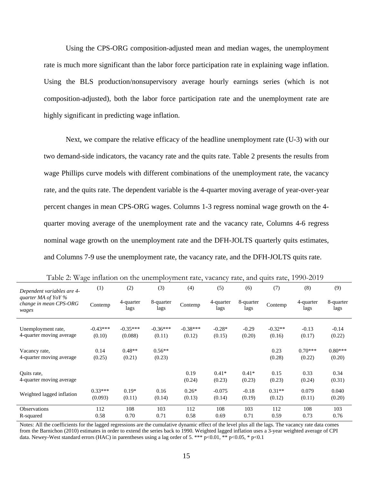Using the CPS-ORG composition-adjusted mean and median wages, the unemployment rate is much more significant than the labor force participation rate in explaining wage inflation. Using the BLS production/nonsupervisory average hourly earnings series (which is not composition-adjusted), both the labor force participation rate and the unemployment rate are highly significant in predicting wage inflation.

Next, we compare the relative efficacy of the headline unemployment rate (U-3) with our two demand-side indicators, the vacancy rate and the quits rate. Table 2 presents the results from wage Phillips curve models with different combinations of the unemployment rate, the vacancy rate, and the quits rate. The dependent variable is the 4-quarter moving average of year-over-year percent changes in mean CPS-ORG wages. Columns 1-3 regress nominal wage growth on the 4 quarter moving average of the unemployment rate and the vacancy rate, Columns 4-6 regress nominal wage growth on the unemployment rate and the DFH-JOLTS quarterly quits estimates, and Columns 7-9 use the unemployment rate, the vacancy rate, and the DFH-JOLTS quits rate.

| Dependent variables are 4-                                | (1)                  | (2)                   | (3)                  | (4)                  | (5)                | (6)               | (7)                 | (8)                 | (9)                 |
|-----------------------------------------------------------|----------------------|-----------------------|----------------------|----------------------|--------------------|-------------------|---------------------|---------------------|---------------------|
| quarter MA of YoY $\%$<br>change in mean CPS-ORG<br>wages | Contemp              | 4-quarter<br>lags     | 8-quarter<br>lags    | Contemp              | 4-quarter<br>lags  | 8-quarter<br>lags | Contemp             | 4-quarter<br>lags   | 8-quarter<br>lags   |
| Unemployment rate,<br>4-quarter moving average            | $-0.43***$<br>(0.10) | $-0.35***$<br>(0.088) | $-0.36***$<br>(0.11) | $-0.38***$<br>(0.12) | $-0.28*$<br>(0.15) | $-0.29$<br>(0.20) | $-0.32**$<br>(0.16) | $-0.13$<br>(0.17)   | $-0.14$<br>(0.22)   |
| Vacancy rate,<br>4-quarter moving average                 | 0.14<br>(0.25)       | $0.48**$<br>(0.21)    | $0.56**$<br>(0.23)   |                      |                    |                   | 0.23<br>(0.28)      | $0.70***$<br>(0.22) | $0.80***$<br>(0.20) |
| Quits rate,<br>4-quarter moving average                   |                      |                       |                      | 0.19<br>(0.24)       | $0.41*$<br>(0.23)  | $0.41*$<br>(0.23) | 0.15<br>(0.23)      | 0.33<br>(0.24)      | 0.34<br>(0.31)      |
| Weighted lagged inflation                                 | $0.33***$<br>(0.093) | $0.19*$<br>(0.11)     | 0.16<br>(0.14)       | $0.26*$<br>(0.13)    | $-0.075$<br>(0.14) | $-0.18$<br>(0.19) | $0.31**$<br>(0.12)  | 0.079<br>(0.11)     | 0.040<br>(0.20)     |
| <b>Observations</b><br>R-squared                          | 112<br>0.58          | 108<br>0.70           | 103<br>0.71          | 112<br>0.58          | 108<br>0.69        | 103<br>0.71       | 112<br>0.59         | 108<br>0.73         | 103<br>0.76         |

Table 2: Wage inflation on the unemployment rate, vacancy rate, and quits rate, 1990-2019

Notes: All the coefficients for the lagged regressions are the cumulative dynamic effect of the level plus all the lags. The vacancy rate data comes from the Barnichon (2010) estimates in order to extend the series back to 1990. Weighted lagged inflation uses a 3-year weighted average of CPI data. Newey-West standard errors (HAC) in parentheses using a lag order of 5. \*\*\* p<0.01, \*\* p<0.05, \* p<0.1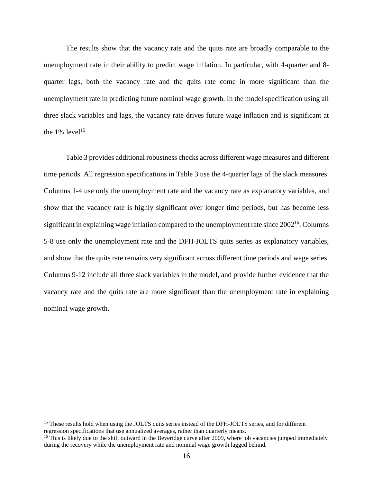The results show that the vacancy rate and the quits rate are broadly comparable to the unemployment rate in their ability to predict wage inflation. In particular, with 4-quarter and 8 quarter lags, both the vacancy rate and the quits rate come in more significant than the unemployment rate in predicting future nominal wage growth. In the model specification using all three slack variables and lags, the vacancy rate drives future wage inflation and is significant at the  $1\%$  level<sup>15</sup>.

Table 3 provides additional robustness checks across different wage measures and different time periods. All regression specifications in Table 3 use the 4-quarter lags of the slack measures. Columns 1-4 use only the unemployment rate and the vacancy rate as explanatory variables, and show that the vacancy rate is highly significant over longer time periods, but has become less significant in explaining wage inflation compared to the unemployment rate since  $2002^{16}$ . Columns 5-8 use only the unemployment rate and the DFH-JOLTS quits series as explanatory variables, and show that the quits rate remains very significant across different time periods and wage series. Columns 9-12 include all three slack variables in the model, and provide further evidence that the vacancy rate and the quits rate are more significant than the unemployment rate in explaining nominal wage growth.

<sup>&</sup>lt;sup>15</sup> These results hold when using the JOLTS quits series instead of the DFH-JOLTS series, and for different regression specifications that use annualized averages, rather than quarterly means.<br><sup>16</sup> This is likely due to the shift outward in the Beveridge curve after 2009, where job vacancies jumped immediately

during the recovery while the unemployment rate and nominal wage growth lagged behind.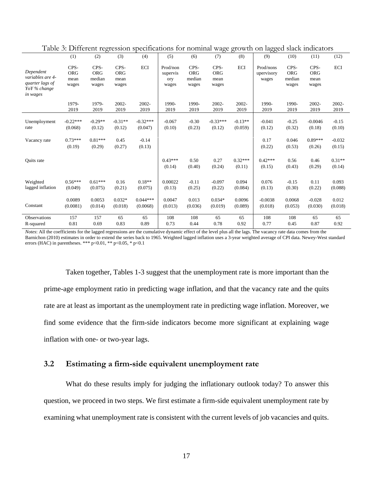|                     |            | $\epsilon$ |            |            |           |            | $\circ$    | ◟          | $\circ\circ$ |            |            |            |
|---------------------|------------|------------|------------|------------|-----------|------------|------------|------------|--------------|------------|------------|------------|
|                     | (1)        | (2)        | (3)        | (4)        | (5)       | (6)        | (7)        | (8)        | (9)          | (10)       | (11)       | (12)       |
|                     | CPS-       | CPS-       | CPS-       | <b>ECI</b> | Prod/non  | CPS-       | CPS-       | <b>ECI</b> | Prod/nons    | CPS-       | CPS-       | <b>ECI</b> |
| Dependent           | <b>ORG</b> | <b>ORG</b> | <b>ORG</b> |            | supervis  | <b>ORG</b> | <b>ORG</b> |            | upervisory   | <b>ORG</b> | <b>ORG</b> |            |
| variables are 4-    | mean       | median     | mean       |            | ory       | median     | mean       |            | wages        | median     | mean       |            |
| quarter lags of     | wages      | wages      | wages      |            | wages     | wages      | wages      |            |              | wages      | wages      |            |
| YoY % change        |            |            |            |            |           |            |            |            |              |            |            |            |
| in wages            |            |            |            |            |           |            |            |            |              |            |            |            |
|                     | 1979-      | 1979-      | 2002-      | 2002-      | 1990-     | 1990-      | 2002-      | 2002-      | 1990-        | 1990-      | 2002-      | 2002-      |
|                     | 2019       | 2019       | 2019       | 2019       | 2019      | 2019       | 2019       | 2019       | 2019         | 2019       | 2019       | 2019       |
|                     |            |            |            |            |           |            |            |            |              |            |            |            |
| Unemployment        | $-0.22***$ | $-0.29**$  | $-0.31**$  | $-0.32***$ | $-0.067$  | $-0.30$    | $-0.33***$ | $-0.13**$  | $-0.041$     | $-0.25$    | $-0.0046$  | $-0.15$    |
| rate                | (0.068)    | (0.12)     | (0.12)     | (0.047)    | (0.10)    | (0.23)     | (0.12)     | (0.059)    | (0.12)       | (0.32)     | (0.18)     | (0.10)     |
|                     |            |            |            |            |           |            |            |            |              |            |            |            |
| Vacancy rate        | $0.73***$  | $0.81***$  | 0.45       | $-0.14$    |           |            |            |            | 0.17         | 0.046      | $0.89***$  | $-0.032$   |
|                     | (0.19)     | (0.29)     | (0.27)     | (0.13)     |           |            |            |            | (0.22)       | (0.53)     | (0.26)     | (0.15)     |
|                     |            |            |            |            |           |            |            |            |              |            |            |            |
| <b>Ouits</b> rate   |            |            |            |            | $0.43***$ | 0.50       | 0.27       | $0.32***$  | $0.42***$    | 0.56       | 0.46       | $0.31**$   |
|                     |            |            |            |            | (0.14)    | (0.40)     | (0.24)     | (0.11)     | (0.15)       | (0.43)     | (0.29)     | (0.14)     |
|                     |            |            |            |            |           |            |            |            |              |            |            |            |
| Weighted            | $0.56***$  | $0.61***$  | 0.16       | $0.18**$   | 0.00022   | $-0.11$    | $-0.097$   | 0.094      | 0.076        | $-0.15$    | 0.11       | 0.093      |
| lagged inflation    | (0.049)    |            |            |            |           |            |            |            |              |            |            |            |
|                     |            | (0.075)    | (0.21)     | (0.075)    | (0.13)    | (0.25)     | (0.22)     | (0.084)    | (0.13)       | (0.30)     | (0.22)     | (0.088)    |
|                     | 0.0089     | 0.0053     | $0.032*$   | $0.044***$ | 0.0047    | 0.013      | $0.034*$   | 0.0096     | $-0.0038$    | 0.0068     | $-0.028$   | 0.012      |
| Constant            | (0.0081)   | (0.014)    | (0.018)    | (0.0068)   | (0.013)   | (0.036)    | (0.019)    | (0.089)    | (0.018)      | (0.053)    | (0.030)    | (0.018)    |
|                     |            |            |            |            |           |            |            |            |              |            |            |            |
| <b>Observations</b> | 157        | 157        | 65         | 65         | 108       | 108        | 65         | 65         | 108          | 108        | 65         | 65         |
| R-squared           | 0.81       | 0.69       | 0.83       | 0.89       | 0.73      | 0.44       | 0.78       | 0.92       | 0.77         | 0.45       | 0.87       | 0.92       |
|                     |            |            |            |            |           |            |            |            |              |            |            |            |

Table 3: Different regression specifications for nominal wage growth on lagged slack indicators

*Notes*: All the coefficients for the lagged regressions are the cumulative dynamic effect of the level plus all the lags. The vacancy rate data comes from the Barnichon (2010) estimates in order to extend the series back to 1965. Weighted lagged inflation uses a 3-year weighted average of CPI data. Newey-West standard errors (HAC) in parentheses. \*\*\* p<0.01, \*\* p<0.05, \* p<0.1

Taken together, Tables 1-3 suggest that the unemployment rate is more important than the prime-age employment ratio in predicting wage inflation, and that the vacancy rate and the quits rate are at least as important as the unemployment rate in predicting wage inflation. Moreover, we find some evidence that the firm-side indicators become more significant at explaining wage inflation with one- or two-year lags.

## **3.2 Estimating a firm-side equivalent unemployment rate**

 What do these results imply for judging the inflationary outlook today? To answer this question, we proceed in two steps. We first estimate a firm-side equivalent unemployment rate by examining what unemployment rate is consistent with the current levels of job vacancies and quits.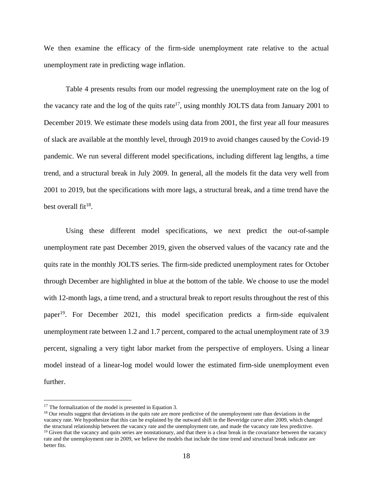We then examine the efficacy of the firm-side unemployment rate relative to the actual unemployment rate in predicting wage inflation.

Table 4 presents results from our model regressing the unemployment rate on the log of the vacancy rate and the log of the quits rate<sup>17</sup>, using monthly JOLTS data from January 2001 to December 2019. We estimate these models using data from 2001, the first year all four measures of slack are available at the monthly level, through 2019 to avoid changes caused by the Covid-19 pandemic. We run several different model specifications, including different lag lengths, a time trend, and a structural break in July 2009. In general, all the models fit the data very well from 2001 to 2019, but the specifications with more lags, a structural break, and a time trend have the best overall  $fit^{18}$ .

Using these different model specifications, we next predict the out-of-sample unemployment rate past December 2019, given the observed values of the vacancy rate and the quits rate in the monthly JOLTS series. The firm-side predicted unemployment rates for October through December are highlighted in blue at the bottom of the table. We choose to use the model with 12-month lags, a time trend, and a structural break to report results throughout the rest of this paper19. For December 2021, this model specification predicts a firm-side equivalent unemployment rate between 1.2 and 1.7 percent, compared to the actual unemployment rate of 3.9 percent, signaling a very tight labor market from the perspective of employers. Using a linear model instead of a linear-log model would lower the estimated firm-side unemployment even further.

<sup>&</sup>lt;sup>17</sup> The formalization of the model is presented in Equation 3.<br><sup>18</sup> Our results suggest that deviations in the quits rate are more predictive of the unemployment rate than deviations in the vacancy rate. We hypothesize that this can be explained by the outward shift in the Beveridge curve after 2009, which changed the structural relationship between the vacancy rate and the unemployment rate, and made the vac  $<sup>19</sup>$  Given that the vacancy and quits series are nonstationary, and that there is a clear break in the covariance between the vacancy</sup> rate and the unemployment rate in 2009, we believe the models that include the time trend and structural break indicator are better fits.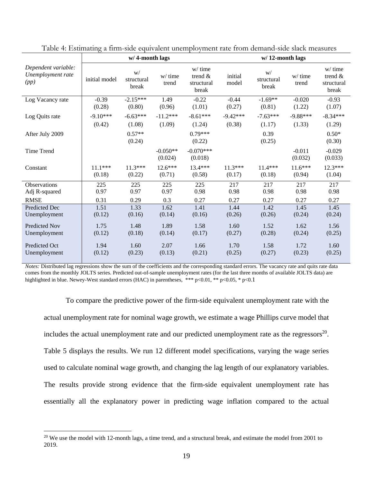|                                                  |               | w/4-month lags            |                       |                                                | $w/12$ -month lags |                           |                     |                                                |  |  |
|--------------------------------------------------|---------------|---------------------------|-----------------------|------------------------------------------------|--------------------|---------------------------|---------------------|------------------------------------------------|--|--|
| Dependent variable:<br>Unemployment rate<br>(pp) | initial model | W/<br>structural<br>break | w/ time<br>trend      | $w/$ time<br>trend $\&$<br>structural<br>break | initial<br>model   | W/<br>structural<br>break | w/ time<br>trend    | $w/$ time<br>trend $\&$<br>structural<br>break |  |  |
| Log Vacancy rate                                 | $-0.39$       | $-2.15***$                | 1.49                  | $-0.22$                                        | $-0.44$            | $-1.69**$                 | $-0.020$            | $-0.93$                                        |  |  |
|                                                  | (0.28)        | (0.80)                    | (0.96)                | (1.01)                                         | (0.27)             | (0.81)                    | (1.22)              | (1.07)                                         |  |  |
| Log Quits rate                                   | $-9.10***$    | $-6.63***$                | $-11.2***$            | $-8.61***$                                     | $-9.42***$         | $-7.63***$                | $-9.88***$          | $-8.34***$                                     |  |  |
|                                                  | (0.42)        | (1.08)                    | (1.09)                | (1.24)                                         | (0.38)             | (1.17)                    | (1.33)              | (1.29)                                         |  |  |
| After July 2009                                  |               | $0.57**$<br>(0.24)        |                       | $0.79***$<br>(0.22)                            |                    | 0.39<br>(0.25)            |                     | $0.50*$<br>(0.30)                              |  |  |
| Time Trend                                       |               |                           | $-0.050**$<br>(0.024) | $-0.070***$<br>(0.018)                         |                    |                           | $-0.011$<br>(0.032) | $-0.029$<br>(0.033)                            |  |  |
| Constant                                         | $11.1***$     | $11.3***$                 | $12.6***$             | 13.4***                                        | $11.3***$          | $11.4***$                 | $11.6***$           | $12.3***$                                      |  |  |
|                                                  | (0.18)        | (0.22)                    | (0.71)                | (0.58)                                         | (0.17)             | (0.18)                    | (0.94)              | (1.04)                                         |  |  |
| Observations                                     | 225<br>0.97   | 225<br>0.97               | 225<br>0.97           | 225<br>0.98                                    | 217                | 217                       | 217                 | 217                                            |  |  |
| Adj R-squared<br><b>RMSE</b>                     | 0.31          | 0.29                      | 0.3                   | 0.27                                           | 0.98<br>0.27       | 0.98<br>0.27              | 0.98<br>0.27        | 0.98<br>0.27                                   |  |  |
| <b>Predicted Dec</b>                             | 1.51          | 1.33                      | 1.62                  | 1.41                                           | 1.44               | 1.42                      | 1.45                | 1.45                                           |  |  |
| Unemployment                                     | (0.12)        | (0.16)                    | (0.14)                | (0.16)                                         | (0.26)             | (0.26)                    | (0.24)              | (0.24)                                         |  |  |
| <b>Predicted Nov</b>                             | 1.75          | 1.48                      | 1.89                  | 1.58                                           | 1.60               | 1.52                      | 1.62                | 1.56                                           |  |  |
| Unemployment                                     | (0.12)        | (0.18)                    | (0.14)                | (0.17)                                         | (0.27)             | (0.28)                    | (0.24)              | (0.25)                                         |  |  |
| Predicted Oct                                    | 1.94          | 1.60                      | 2.07                  | 1.66                                           | 1.70               | 1.58                      | 1.72                | 1.60                                           |  |  |
| Unemployment                                     | (0.12)        | (0.23)                    | (0.13)                | (0.21)                                         | (0.25)             | (0.27)                    | (0.23)              | (0.25)                                         |  |  |

Table 4: Estimating a firm-side equivalent unemployment rate from demand-side slack measures

*Notes:* Distributed lag regressions show the sum of the coefficients and the corresponding standard errors. The vacancy rate and quits rate data comes from the monthly JOLTS series. Predicted out-of-sample unemployment rates (for the last three months of available JOLTS data) are highlighted in blue. Newey-West standard errors (HAC) in parentheses, \*\*\* p<0.01, \*\* p<0.05, \* p<0.1

To compare the predictive power of the firm-side equivalent unemployment rate with the actual unemployment rate for nominal wage growth, we estimate a wage Phillips curve model that includes the actual unemployment rate and our predicted unemployment rate as the regressors<sup>20</sup>. Table 5 displays the results. We run 12 different model specifications, varying the wage series used to calculate nominal wage growth, and changing the lag length of our explanatory variables. The results provide strong evidence that the firm-side equivalent unemployment rate has essentially all the explanatory power in predicting wage inflation compared to the actual

<u>.</u>

<sup>&</sup>lt;sup>20</sup> We use the model with 12-month lags, a time trend, and a structural break, and estimate the model from 2001 to 2019.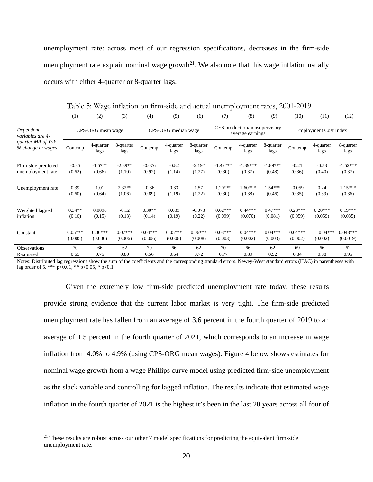unemployment rate: across most of our regression specifications, decreases in the firm-side unemployment rate explain nominal wage growth<sup>21</sup>. We also note that this wage inflation usually occurs with either 4-quarter or 8-quarter lags.

|                                        | (1)               | (2)               | (3)               | (4)                 | (5)               | (6)               | (7)                                               | (8)               | (9)               | (10)                         | (11)              | (12)              |
|----------------------------------------|-------------------|-------------------|-------------------|---------------------|-------------------|-------------------|---------------------------------------------------|-------------------|-------------------|------------------------------|-------------------|-------------------|
| Dependent<br>variables are 4-          | CPS-ORG mean wage |                   |                   | CPS-ORG median wage |                   |                   | CES production/nonsupervisory<br>average earnings |                   |                   | <b>Employment Cost Index</b> |                   |                   |
| quarter MA of YoY<br>% change in wages | Contemp           | 4-quarter<br>lags | 8-quarter<br>lags | Contemp             | 4-quarter<br>lags | 8-quarter<br>lags | Contemp                                           | 4-quarter<br>lags | 8-quarter<br>lags | Contemp                      | 4-quarter<br>lags | 8-quarter<br>lags |
| Firm-side predicted                    | $-0.85$           | $-1.57**$         | $-2.89**$         | $-0.076$            | $-0.82$           | $-2.19*$          | $-1.42***$                                        | $-1.89***$        | $-1.89***$        | $-0.21$                      | $-0.53$           | $-1.52***$        |
| unemployment rate                      | (0.62)            | (0.66)            | (1.10)            | (0.92)              | (1.14)            | (1.27)            | (0.30)                                            | (0.37)            | (0.48)            | (0.36)                       | (0.40)            | (0.37)            |
| Unemployment rate                      | 0.39              | 1.01              | $2.32**$          | $-0.36$             | 0.33              | 1.57              | $1.20***$                                         | $1.60***$         | 1.54***           | $-0.059$                     | 0.24              | $1.15***$         |
|                                        | (0.60)            | (0.64)            | (1.06)            | (0.89)              | (1.19)            | (1.22)            | (0.30)                                            | (0.38)            | (0.46)            | (0.35)                       | (0.39)            | (0.36)            |
| Weighted lagged                        | $0.34**$          | 0.0096            | $-0.12$           | $0.30**$            | 0.039             | $-0.073$          | $0.62***$                                         | $0.44***$         | $0.47***$         | $0.28***$                    | $0.20***$         | $0.19***$         |
| inflation                              | (0.16)            | (0.15)            | (0.13)            | (0.14)              | (0.19)            | (0.22)            | (0.099)                                           | (0.070)           | (0.081)           | (0.059)                      | (0.059)           | (0.035)           |
| Constant                               | $0.05***$         | $0.06***$         | $0.07***$         | $0.04***$           | $0.05***$         | $0.06***$         | $0.03***$                                         | $0.04***$         | $0.04***$         | $0.04***$                    | $0.04***$         | $0.043***$        |
|                                        | (0.005)           | (0.006)           | (0.006)           | (0.006)             | (0.006)           | (0.008)           | (0.003)                                           | (0.002)           | (0.003)           | (0.002)                      | (0.002)           | (0.0019)          |
| <b>Observations</b>                    | 70                | 66                | 62                | 70                  | 66                | 62                | 70                                                | 66                | 62                | 69                           | 66                | 62                |
| R-squared                              | 0.65              | 0.75              | 0.80              | 0.56                | 0.64              | 0.72              | 0.77                                              | 0.89              | 0.92              | 0.84                         | 0.88              | 0.95              |

Table 5: Wage inflation on firm-side and actual unemployment rates, 2001-2019

Notes: Distributed lag regressions show the sum of the coefficients and the corresponding standard errors. Newey-West standard errors (HAC) in parentheses with lag order of 5. \*\*\* p<0.01, \*\* p<0.05, \* p<0.1

Given the extremely low firm-side predicted unemployment rate today, these results provide strong evidence that the current labor market is very tight. The firm-side predicted unemployment rate has fallen from an average of 3.6 percent in the fourth quarter of 2019 to an average of 1.5 percent in the fourth quarter of 2021, which corresponds to an increase in wage inflation from 4.0% to 4.9% (using CPS-ORG mean wages). Figure 4 below shows estimates for nominal wage growth from a wage Phillips curve model using predicted firm-side unemployment as the slack variable and controlling for lagged inflation. The results indicate that estimated wage inflation in the fourth quarter of 2021 is the highest it's been in the last 20 years across all four of

<sup>&</sup>lt;sup>21</sup> These results are robust across our other 7 model specifications for predicting the equivalent firm-side unemployment rate.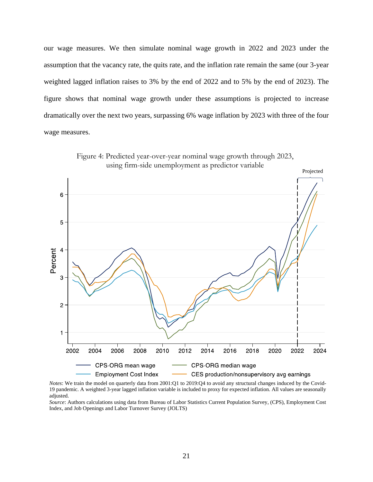our wage measures. We then simulate nominal wage growth in 2022 and 2023 under the assumption that the vacancy rate, the quits rate, and the inflation rate remain the same (our 3-year weighted lagged inflation raises to 3% by the end of 2022 and to 5% by the end of 2023). The figure shows that nominal wage growth under these assumptions is projected to increase dramatically over the next two years, surpassing 6% wage inflation by 2023 with three of the four wage measures.



Figure 4: Predicted year-over-year nominal wage growth through 2023, using firm-side unemployment as predictor variable

*Notes*: We train the model on quarterly data from 2001:Q1 to 2019:Q4 to avoid any structural changes induced by the Covid-19 pandemic. A weighted 3-year lagged inflation variable is included to proxy for expected inflation. All values are seasonally adjusted.

*Source*: Authors calculations using data from Bureau of Labor Statistics Current Population Survey, (CPS), Employment Cost Index, and Job Openings and Labor Turnover Survey (JOLTS)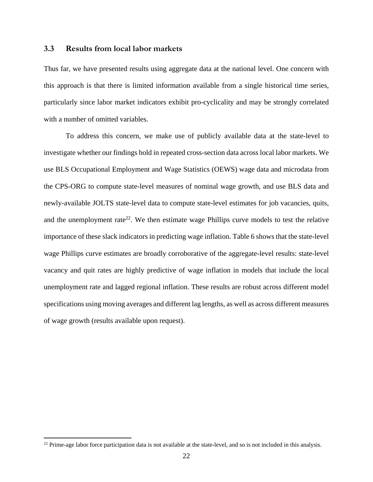### **3.3 Results from local labor markets**

Thus far, we have presented results using aggregate data at the national level. One concern with this approach is that there is limited information available from a single historical time series, particularly since labor market indicators exhibit pro-cyclicality and may be strongly correlated with a number of omitted variables.

 To address this concern, we make use of publicly available data at the state-level to investigate whether our findings hold in repeated cross-section data across local labor markets. We use BLS Occupational Employment and Wage Statistics (OEWS) wage data and microdata from the CPS-ORG to compute state-level measures of nominal wage growth, and use BLS data and newly-available JOLTS state-level data to compute state-level estimates for job vacancies, quits, and the unemployment rate<sup>22</sup>. We then estimate wage Phillips curve models to test the relative importance of these slack indicators in predicting wage inflation. Table 6 shows that the state-level wage Phillips curve estimates are broadly corroborative of the aggregate-level results: state-level vacancy and quit rates are highly predictive of wage inflation in models that include the local unemployment rate and lagged regional inflation. These results are robust across different model specifications using moving averages and different lag lengths, as well as across different measures of wage growth (results available upon request).

 $22$  Prime-age labor force participation data is not available at the state-level, and so is not included in this analysis.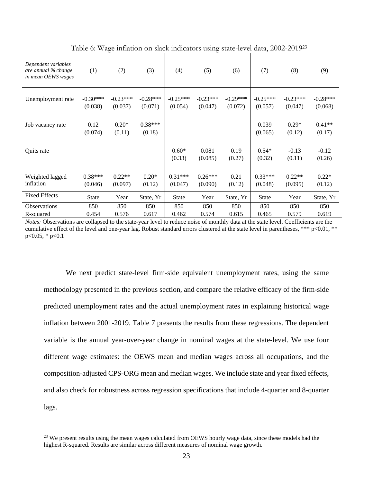| Dependent variables<br>are annual % change<br>in mean OEWS wages | (1)                   | (2)                   | (3)                   | (4)                   | (5)                   | (6)                   | (7)                   | (8)                   | (9)                   |
|------------------------------------------------------------------|-----------------------|-----------------------|-----------------------|-----------------------|-----------------------|-----------------------|-----------------------|-----------------------|-----------------------|
| Unemployment rate                                                | $-0.30***$<br>(0.038) | $-0.23***$<br>(0.037) | $-0.28***$<br>(0.071) | $-0.25***$<br>(0.054) | $-0.23***$<br>(0.047) | $-0.29***$<br>(0.072) | $-0.25***$<br>(0.057) | $-0.23***$<br>(0.047) | $-0.28***$<br>(0.068) |
| Job vacancy rate                                                 | 0.12<br>(0.074)       | $0.20*$<br>(0.11)     | $0.38***$<br>(0.18)   |                       |                       |                       | 0.039<br>(0.065)      | $0.29*$<br>(0.12)     | $0.41**$<br>(0.17)    |
| Quits rate                                                       |                       |                       |                       | $0.60*$<br>(0.33)     | 0.081<br>(0.085)      | 0.19<br>(0.27)        | $0.54*$<br>(0.32)     | $-0.13$<br>(0.11)     | $-0.12$<br>(0.26)     |
| Weighted lagged<br>inflation                                     | $0.38***$<br>(0.046)  | $0.22**$<br>(0.097)   | $0.20*$<br>(0.12)     | $0.31***$<br>(0.047)  | $0.26***$<br>(0.090)  | 0.21<br>(0.12)        | $0.33***$<br>(0.048)  | $0.22**$<br>(0.095)   | $0.22*$<br>(0.12)     |
| <b>Fixed Effects</b>                                             | <b>State</b>          | Year                  | State, Yr             | <b>State</b>          | Year                  | State, Yr             | <b>State</b>          | Year                  | State, Yr             |
| <b>Observations</b>                                              | 850                   | 850                   | 850                   | 850                   | 850                   | 850                   | 850                   | 850                   | 850                   |
| R-squared                                                        | 0.454                 | 0.576                 | 0.617                 | 0.462                 | 0.574                 | 0.615                 | 0.465                 | 0.579                 | 0.619                 |

Table 6: Wage inflation on slack indicators using state-level data, 2002-201923

*Notes:* Observations are collapsed to the state-year level to reduce noise of monthly data at the state level. Coefficients are the cumulative effect of the level and one-year lag. Robust standard errors clustered at the state level in parentheses, \*\*\*  $p<0.01$ , \*\*  $p<0.05$ , \*  $p<0.1$ 

 We next predict state-level firm-side equivalent unemployment rates, using the same methodology presented in the previous section, and compare the relative efficacy of the firm-side predicted unemployment rates and the actual unemployment rates in explaining historical wage inflation between 2001-2019. Table 7 presents the results from these regressions. The dependent variable is the annual year-over-year change in nominal wages at the state-level. We use four different wage estimates: the OEWS mean and median wages across all occupations, and the composition-adjusted CPS-ORG mean and median wages. We include state and year fixed effects, and also check for robustness across regression specifications that include 4-quarter and 8-quarter lags.

<sup>&</sup>lt;sup>23</sup> We present results using the mean wages calculated from OEWS hourly wage data, since these models had the highest R-squared. Results are similar across different measures of nominal wage growth.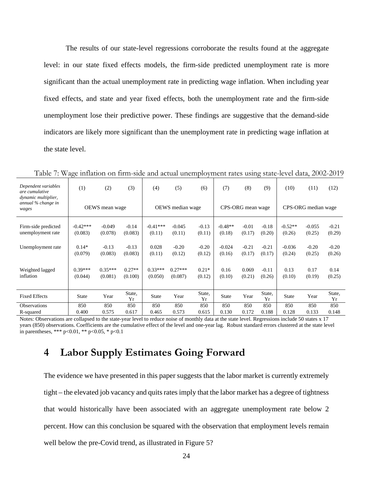The results of our state-level regressions corroborate the results found at the aggregate level: in our state fixed effects models, the firm-side predicted unemployment rate is more significant than the actual unemployment rate in predicting wage inflation. When including year fixed effects, and state and year fixed effects, both the unemployment rate and the firm-side unemployment lose their predictive power. These findings are suggestive that the demand-side indicators are likely more significant than the unemployment rate in predicting wage inflation at the state level.

| Dependent variables<br>are cumulative<br>dynamic multiplier, | (1)                   | (2)                  | (3)                 | (4)                  | (5)                  | (6)               | (7)                 | (8)               | (9)               | (10)                | (11)               | (12)              |
|--------------------------------------------------------------|-----------------------|----------------------|---------------------|----------------------|----------------------|-------------------|---------------------|-------------------|-------------------|---------------------|--------------------|-------------------|
| annual % change in<br>wages                                  | OEWS mean wage        |                      |                     | OEWS median wage     |                      |                   | CPS-ORG mean wage   |                   |                   | CPS-ORG median wage |                    |                   |
| Firm-side predicted<br>unemployment rate                     | $-0.42***$<br>(0.083) | $-0.049$<br>(0.078)  | $-0.14$<br>(0.083)  | $-0.41***$<br>(0.11) | $-0.045$<br>(0.11)   | $-0.13$<br>(0.11) | $-0.48**$<br>(0.18) | $-0.01$<br>(0.17) | $-0.18$<br>(0.20) | $-0.52**$<br>(0.26) | $-0.055$<br>(0.25) | $-0.21$<br>(0.29) |
| Unemployment rate                                            | $0.14*$<br>(0.079)    | $-0.13$<br>(0.083)   | $-0.13$<br>(0.083)  | 0.028<br>(0.11)      | $-0.20$<br>(0.12)    | $-0.20$<br>(0.12) | $-0.024$<br>(0.16)  | $-0.21$<br>(0.17) | $-0.21$<br>(0.17) | $-0.036$<br>(0.24)  | $-0.20$<br>(0.25)  | $-0.20$<br>(0.26) |
| Weighted lagged<br>inflation                                 | $0.39***$<br>(0.044)  | $0.35***$<br>(0.081) | $0.27**$<br>(0.100) | $0.33***$<br>(0.050) | $0.27***$<br>(0.087) | $0.21*$<br>(0.12) | 0.16<br>(0.10)      | 0.069<br>(0.21)   | $-0.11$<br>(0.26) | 0.13<br>(0.10)      | 0.17<br>(0.19)     | 0.14<br>(0.25)    |
| <b>Fixed Effects</b>                                         | <b>State</b>          | Year                 | State,<br>Yr        | <b>State</b>         | Year                 | State,<br>Yr      | <b>State</b>        | Year              | State,<br>Yr      | State               | Year               | State,<br>Yr      |
| <b>Observations</b>                                          | 850                   | 850                  | 850                 | 850                  | 850                  | 850               | 850                 | 850               | 850               | 850                 | 850                | 850               |
| R-squared                                                    | 0.400                 | 0.575                | 0.617               | 0.465                | 0.573                | 0.615             | 0.130               | 0.172             | 0.188             | 0.128               | 0.133              | 0.148             |

Table 7: Wage inflation on firm-side and actual unemployment rates using state-level data, 2002-2019

Notes: Observations are collapsed to the state-year level to reduce noise of monthly data at the state level. Regressions include 50 states x 17 years (850) observations. Coefficients are the cumulative effect of the level and one-year lag. Robust standard errors clustered at the state level in parentheses, \*\*\*  $p<0.01$ , \*\*  $p<0.05$ , \*  $p<0.1$ 

# **4 Labor Supply Estimates Going Forward**

The evidence we have presented in this paper suggests that the labor market is currently extremely tight – the elevated job vacancy and quits rates imply that the labor market has a degree of tightness that would historically have been associated with an aggregate unemployment rate below 2 percent. How can this conclusion be squared with the observation that employment levels remain well below the pre-Covid trend, as illustrated in Figure 5?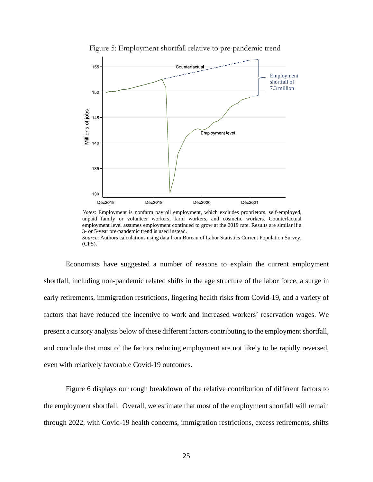

Figure 5: Employment shortfall relative to pre-pandemic trend



Economists have suggested a number of reasons to explain the current employment shortfall, including non-pandemic related shifts in the age structure of the labor force, a surge in early retirements, immigration restrictions, lingering health risks from Covid-19, and a variety of factors that have reduced the incentive to work and increased workers' reservation wages. We present a cursory analysis below of these different factors contributing to the employment shortfall, and conclude that most of the factors reducing employment are not likely to be rapidly reversed, even with relatively favorable Covid-19 outcomes.

Figure 6 displays our rough breakdown of the relative contribution of different factors to the employment shortfall. Overall, we estimate that most of the employment shortfall will remain through 2022, with Covid-19 health concerns, immigration restrictions, excess retirements, shifts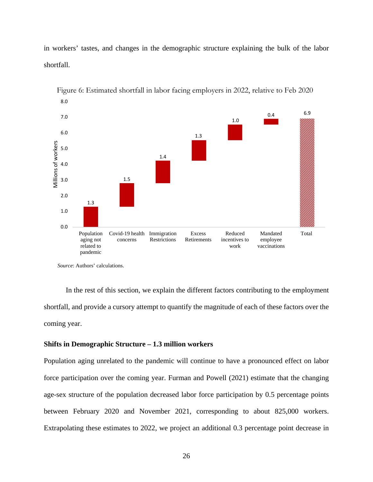in workers' tastes, and changes in the demographic structure explaining the bulk of the labor shortfall.



Figure 6: Estimated shortfall in labor facing employers in 2022, relative to Feb 2020

*Source*: Authors' calculations.

In the rest of this section, we explain the different factors contributing to the employment shortfall, and provide a cursory attempt to quantify the magnitude of each of these factors over the coming year.

### **Shifts in Demographic Structure – 1.3 million workers**

Population aging unrelated to the pandemic will continue to have a pronounced effect on labor force participation over the coming year. Furman and Powell (2021) estimate that the changing age-sex structure of the population decreased labor force participation by 0.5 percentage points between February 2020 and November 2021, corresponding to about 825,000 workers. Extrapolating these estimates to 2022, we project an additional 0.3 percentage point decrease in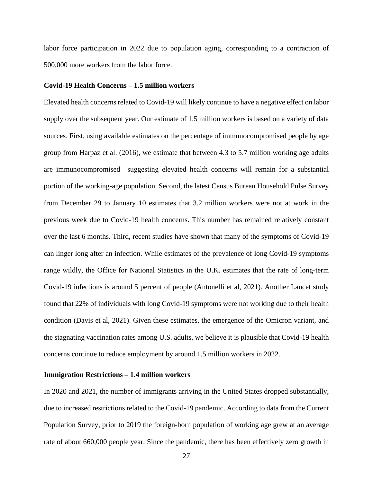labor force participation in 2022 due to population aging, corresponding to a contraction of 500,000 more workers from the labor force.

### **Covid-19 Health Concerns – 1.5 million workers**

Elevated health concerns related to Covid-19 will likely continue to have a negative effect on labor supply over the subsequent year. Our estimate of 1.5 million workers is based on a variety of data sources. First, using available estimates on the percentage of immunocompromised people by age group from Harpaz et al. (2016), we estimate that between 4.3 to 5.7 million working age adults are immunocompromised– suggesting elevated health concerns will remain for a substantial portion of the working-age population. Second, the latest Census Bureau Household Pulse Survey from December 29 to January 10 estimates that 3.2 million workers were not at work in the previous week due to Covid-19 health concerns. This number has remained relatively constant over the last 6 months. Third, recent studies have shown that many of the symptoms of Covid-19 can linger long after an infection. While estimates of the prevalence of long Covid-19 symptoms range wildly, the Office for National Statistics in the U.K. estimates that the rate of long-term Covid-19 infections is around 5 percent of people (Antonelli et al, 2021). Another Lancet study found that 22% of individuals with long Covid-19 symptoms were not working due to their health condition (Davis et al, 2021). Given these estimates, the emergence of the Omicron variant, and the stagnating vaccination rates among U.S. adults, we believe it is plausible that Covid-19 health concerns continue to reduce employment by around 1.5 million workers in 2022.

#### **Immigration Restrictions – 1.4 million workers**

In 2020 and 2021, the number of immigrants arriving in the United States dropped substantially, due to increased restrictions related to the Covid-19 pandemic. According to data from the Current Population Survey, prior to 2019 the foreign-born population of working age grew at an average rate of about 660,000 people year. Since the pandemic, there has been effectively zero growth in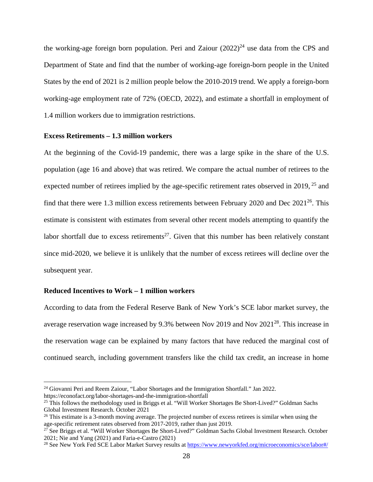the working-age foreign born population. Peri and Zaiour  $(2022)^{24}$  use data from the CPS and Department of State and find that the number of working-age foreign-born people in the United States by the end of 2021 is 2 million people below the 2010-2019 trend. We apply a foreign-born working-age employment rate of 72% (OECD, 2022), and estimate a shortfall in employment of 1.4 million workers due to immigration restrictions.

#### **Excess Retirements – 1.3 million workers**

At the beginning of the Covid-19 pandemic, there was a large spike in the share of the U.S. population (age 16 and above) that was retired. We compare the actual number of retirees to the expected number of retirees implied by the age-specific retirement rates observed in 2019, <sup>25</sup> and find that there were 1.3 million excess retirements between February 2020 and Dec  $2021^{26}$ . This estimate is consistent with estimates from several other recent models attempting to quantify the labor shortfall due to excess retirements<sup>27</sup>. Given that this number has been relatively constant since mid-2020, we believe it is unlikely that the number of excess retirees will decline over the subsequent year.

### **Reduced Incentives to Work – 1 million workers**

 $\overline{a}$ 

According to data from the Federal Reserve Bank of New York's SCE labor market survey, the average reservation wage increased by 9.3% between Nov 2019 and Nov 2021<sup>28</sup>. This increase in the reservation wage can be explained by many factors that have reduced the marginal cost of continued search, including government transfers like the child tax credit, an increase in home

<sup>&</sup>lt;sup>24</sup> Giovanni Peri and Reem Zaiour, "Labor Shortages and the Immigration Shortfall." Jan 2022. https://econofact.org/labor-shortages-and-the-immigration-shortfall 25 This follows the methodology used in Briggs et al. "Will Worker Shortages Be Short-Lived?" Goldman Sachs

Global Investment Research. October 2021

<sup>&</sup>lt;sup>26</sup> This estimate is a 3-month moving average. The projected number of excess retirees is similar when using the age-specific retirement rates observed from 2017-2019, rather than just 2019.

<sup>27</sup> See Briggs et al. "Will Worker Shortages Be Short-Lived?" Goldman Sachs Global Investment Research. October 2021; Nie and Yang (2021) and Faria-e-Castro (2021)

<sup>&</sup>lt;sup>28</sup> See New York Fed SCE Labor Market Survey results at https://www.newyorkfed.org/microeconomics/sce/labor#/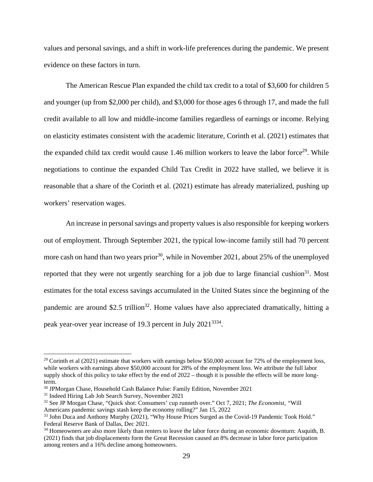values and personal savings, and a shift in work-life preferences during the pandemic. We present evidence on these factors in turn.

The American Rescue Plan expanded the child tax credit to a total of \$3,600 for children 5 and younger (up from \$2,000 per child), and \$3,000 for those ages 6 through 17, and made the full credit available to all low and middle-income families regardless of earnings or income. Relying on elasticity estimates consistent with the academic literature, Corinth et al. (2021) estimates that the expanded child tax credit would cause 1.46 million workers to leave the labor force<sup>29</sup>. While negotiations to continue the expanded Child Tax Credit in 2022 have stalled, we believe it is reasonable that a share of the Corinth et al. (2021) estimate has already materialized, pushing up workers' reservation wages.

An increase in personal savings and property values is also responsible for keeping workers out of employment. Through September 2021, the typical low-income family still had 70 percent more cash on hand than two years prior<sup>30</sup>, while in November 2021, about 25% of the unemployed reported that they were not urgently searching for a job due to large financial cushion<sup>31</sup>. Most estimates for the total excess savings accumulated in the United States since the beginning of the pandemic are around \$2.5 trillion<sup>32</sup>. Home values have also appreciated dramatically, hitting a peak year-over year increase of 19.3 percent in July 20213334.

<sup>&</sup>lt;sup>29</sup> Corinth et al (2021) estimate that workers with earnings below \$50,000 account for 72% of the employment loss, while workers with earnings above \$50,000 account for 28% of the employment loss. We attribute the full labor supply shock of this policy to take effect by the end of 2022 – though it is possible the effects will be more longterm.

<sup>30</sup> JPMorgan Chase, Household Cash Balance Pulse: Family Edition, November 2021

<sup>31</sup> Indeed Hiring Lab Job Search Survey, November 2021

<sup>32</sup> See JP Morgan Chase, "Quick shot: Consumers' cup runneth over." Oct 7, 2021; *The Economist, "*Will Americans pandemic savings stash keep the economy rolling?" Jan 15, 2022

<sup>&</sup>lt;sup>33</sup> John Duca and Anthony Murphy (2021), "Why House Prices Surged as the Covid-19 Pandemic Took Hold." Federal Reserve Bank of Dallas, Dec 2021.

<sup>&</sup>lt;sup>34</sup> Homeowners are also more likely than renters to leave the labor force during an economic downturn: Asquith, B. (2021) finds that job displacements form the Great Recession caused an 8% decrease in labor force participation among renters and a 16% decline among homeowners.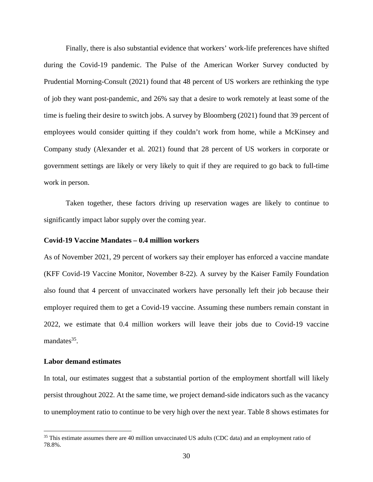Finally, there is also substantial evidence that workers' work-life preferences have shifted during the Covid-19 pandemic. The Pulse of the American Worker Survey conducted by Prudential Morning-Consult (2021) found that 48 percent of US workers are rethinking the type of job they want post-pandemic, and 26% say that a desire to work remotely at least some of the time is fueling their desire to switch jobs. A survey by Bloomberg (2021) found that 39 percent of employees would consider quitting if they couldn't work from home, while a McKinsey and Company study (Alexander et al. 2021) found that 28 percent of US workers in corporate or government settings are likely or very likely to quit if they are required to go back to full-time work in person.

Taken together, these factors driving up reservation wages are likely to continue to significantly impact labor supply over the coming year.

### **Covid-19 Vaccine Mandates – 0.4 million workers**

As of November 2021, 29 percent of workers say their employer has enforced a vaccine mandate (KFF Covid-19 Vaccine Monitor, November 8-22). A survey by the Kaiser Family Foundation also found that 4 percent of unvaccinated workers have personally left their job because their employer required them to get a Covid-19 vaccine. Assuming these numbers remain constant in 2022, we estimate that 0.4 million workers will leave their jobs due to Covid-19 vaccine mandates $35$ .

### **Labor demand estimates**

 $\overline{a}$ 

In total, our estimates suggest that a substantial portion of the employment shortfall will likely persist throughout 2022. At the same time, we project demand-side indicators such as the vacancy to unemployment ratio to continue to be very high over the next year. Table 8 shows estimates for

<sup>&</sup>lt;sup>35</sup> This estimate assumes there are 40 million unvaccinated US adults (CDC data) and an employment ratio of 78.8%.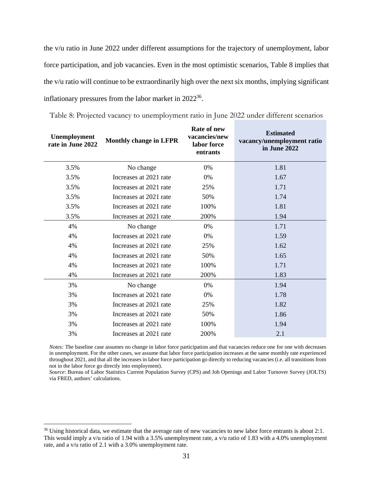the v/u ratio in June 2022 under different assumptions for the trajectory of unemployment, labor force participation, and job vacancies. Even in the most optimistic scenarios, Table 8 implies that the v/u ratio will continue to be extraordinarily high over the next six months, implying significant inflationary pressures from the labor market in 202236.

| <b>Unemployment</b><br>rate in June 2022 | <b>Monthly change in LFPR</b> | <b>Rate of new</b><br>vacancies/new<br>labor force<br>entrants | <b>Estimated</b><br>vacancy/unemployment ratio<br>in June 2022 |
|------------------------------------------|-------------------------------|----------------------------------------------------------------|----------------------------------------------------------------|
| 3.5%                                     | No change                     | 0%                                                             | 1.81                                                           |
| 3.5%                                     | Increases at 2021 rate        | 0%                                                             | 1.67                                                           |
| 3.5%                                     | Increases at 2021 rate        | 25%                                                            | 1.71                                                           |
| 3.5%                                     | Increases at 2021 rate        | 50%                                                            | 1.74                                                           |
| 3.5%                                     | Increases at 2021 rate        | 100%                                                           | 1.81                                                           |
| 3.5%                                     | Increases at 2021 rate        | 200%                                                           | 1.94                                                           |
| 4%                                       | No change                     | 0%                                                             | 1.71                                                           |
| 4%                                       | Increases at 2021 rate        | 0%                                                             | 1.59                                                           |
| 4%                                       | Increases at 2021 rate        | 25%                                                            | 1.62                                                           |
| 4%                                       | Increases at 2021 rate        | 50%                                                            | 1.65                                                           |
| 4%                                       | Increases at 2021 rate        | 100%                                                           | 1.71                                                           |
| 4%                                       | Increases at 2021 rate        | 200%                                                           | 1.83                                                           |
| 3%                                       | No change                     | 0%                                                             | 1.94                                                           |
| 3%                                       | Increases at 2021 rate        | 0%                                                             | 1.78                                                           |
| 3%                                       | Increases at 2021 rate        | 25%                                                            | 1.82                                                           |
| 3%                                       | Increases at 2021 rate        | 50%                                                            | 1.86                                                           |
| 3%                                       | Increases at 2021 rate        | 100%                                                           | 1.94                                                           |
| 3%                                       | Increases at 2021 rate        | 200%                                                           | 2.1                                                            |

Table 8: Projected vacancy to unemployment ratio in June 2022 under different scenarios

*Notes:* The baseline case assumes no change in labor force participation and that vacancies reduce one for one with decreases in unemployment. For the other cases, we assume that labor force participation increases at the same monthly rate experienced throughout 2021, and that all the increases in labor force participation go directly to reducing vacancies (i.e. all transitions from not in the labor force go directly into employment).

*Source*: Bureau of Labor Statistics Current Population Survey (CPS) and Job Openings and Labor Turnover Survey (JOLTS) via FRED, authors' calculations.

<sup>&</sup>lt;sup>36</sup> Using historical data, we estimate that the average rate of new vacancies to new labor force entrants is about 2:1. This would imply a v/u ratio of 1.94 with a 3.5% unemployment rate, a v/u ratio of 1.83 with a 4.0% unemployment rate, and a v/u ratio of 2.1 with a 3.0% unemployment rate.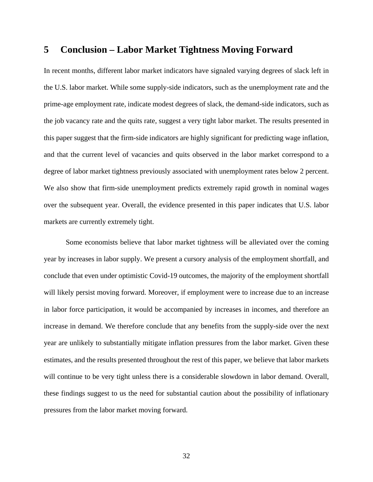## **5 Conclusion – Labor Market Tightness Moving Forward**

In recent months, different labor market indicators have signaled varying degrees of slack left in the U.S. labor market. While some supply-side indicators, such as the unemployment rate and the prime-age employment rate, indicate modest degrees of slack, the demand-side indicators, such as the job vacancy rate and the quits rate, suggest a very tight labor market. The results presented in this paper suggest that the firm-side indicators are highly significant for predicting wage inflation, and that the current level of vacancies and quits observed in the labor market correspond to a degree of labor market tightness previously associated with unemployment rates below 2 percent. We also show that firm-side unemployment predicts extremely rapid growth in nominal wages over the subsequent year. Overall, the evidence presented in this paper indicates that U.S. labor markets are currently extremely tight.

Some economists believe that labor market tightness will be alleviated over the coming year by increases in labor supply. We present a cursory analysis of the employment shortfall, and conclude that even under optimistic Covid-19 outcomes, the majority of the employment shortfall will likely persist moving forward. Moreover, if employment were to increase due to an increase in labor force participation, it would be accompanied by increases in incomes, and therefore an increase in demand. We therefore conclude that any benefits from the supply-side over the next year are unlikely to substantially mitigate inflation pressures from the labor market. Given these estimates, and the results presented throughout the rest of this paper, we believe that labor markets will continue to be very tight unless there is a considerable slowdown in labor demand. Overall, these findings suggest to us the need for substantial caution about the possibility of inflationary pressures from the labor market moving forward.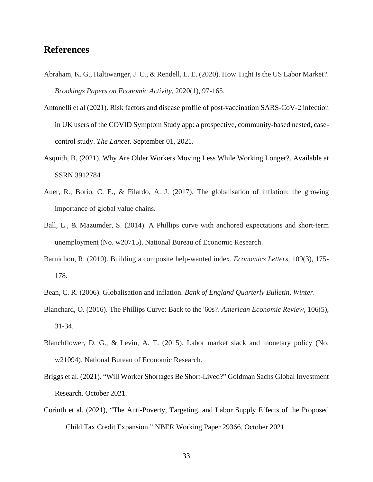## **References**

- Abraham, K. G., Haltiwanger, J. C., & Rendell, L. E. (2020). How Tight Is the US Labor Market?. *Brookings Papers on Economic Activity*, 2020(1), 97-165.
- Antonelli et al (2021). Risk factors and disease profile of post-vaccination SARS-CoV-2 infection in UK users of the COVID Symptom Study app: a prospective, community-based nested, casecontrol study. *The Lancet*. September 01, 2021.
- Asquith, B. (2021). Why Are Older Workers Moving Less While Working Longer?. Available at SSRN 3912784
- Auer, R., Borio, C. E., & Filardo, A. J. (2017). The globalisation of inflation: the growing importance of global value chains.
- Ball, L., & Mazumder, S. (2014). A Phillips curve with anchored expectations and short-term unemployment (No. w20715). National Bureau of Economic Research.
- Barnichon, R. (2010). Building a composite help-wanted index. *Economics Letters*, 109(3), 175- 178.
- Bean, C. R. (2006). Globalisation and inflation. *Bank of England Quarterly Bulletin, Winter*.
- Blanchard, O. (2016). The Phillips Curve: Back to the '60s?. *American Economic Review*, 106(5), 31-34.
- Blanchflower, D. G., & Levin, A. T. (2015). Labor market slack and monetary policy (No. w21094). National Bureau of Economic Research.
- Briggs et al. (2021). "Will Worker Shortages Be Short-Lived?" Goldman Sachs Global Investment Research. October 2021.
- Corinth et al. (2021), "The Anti-Poverty, Targeting, and Labor Supply Effects of the Proposed Child Tax Credit Expansion." NBER Working Paper 29366. October 2021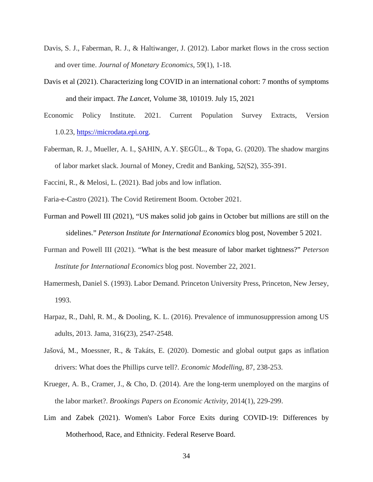- Davis, S. J., Faberman, R. J., & Haltiwanger, J. (2012). Labor market flows in the cross section and over time. *Journal of Monetary Economics*, 59(1), 1-18.
- Davis et al (2021). Characterizing long COVID in an international cohort: 7 months of symptoms and their impact. *The Lancet*, Volume 38, 101019. July 15, 2021
- Economic Policy Institute. 2021. Current Population Survey Extracts, Version 1.0.23, https://microdata.epi.org.
- Faberman, R. J., Mueller, A. I., ŞAHIN, A.Y. ŞEGÜL., & Topa, G. (2020). The shadow margins of labor market slack. Journal of Money, Credit and Banking, 52(S2), 355-391.
- Faccini, R., & Melosi, L. (2021). Bad jobs and low inflation.
- Faria-e-Castro (2021). The Covid Retirement Boom. October 2021.
- Furman and Powell III (2021), "US makes solid job gains in October but millions are still on the sidelines." *Peterson Institute for International Economics* blog post, November 5 2021.
- Furman and Powell III (2021). "What is the best measure of labor market tightness?" *Peterson Institute for International Economics* blog post. November 22, 2021.
- Hamermesh, Daniel S. (1993). Labor Demand. Princeton University Press, Princeton, New Jersey, 1993.
- Harpaz, R., Dahl, R. M., & Dooling, K. L. (2016). Prevalence of immunosuppression among US adults, 2013. Jama, 316(23), 2547-2548.
- Jašová, M., Moessner, R., & Takáts, E. (2020). Domestic and global output gaps as inflation drivers: What does the Phillips curve tell?. *Economic Modelling*, 87, 238-253.
- Krueger, A. B., Cramer, J., & Cho, D. (2014). Are the long-term unemployed on the margins of the labor market?. *Brookings Papers on Economic Activity*, 2014(1), 229-299.
- Lim and Zabek (2021). Women's Labor Force Exits during COVID-19: Differences by Motherhood, Race, and Ethnicity. Federal Reserve Board.